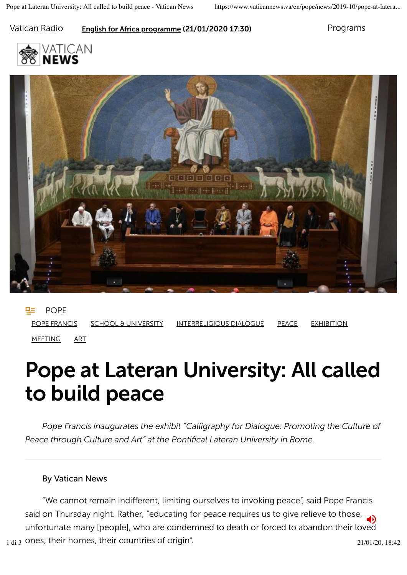### Vatican Radio **English for Africa programme (21/01/2020 17:30)** Programs





POPE POPE FRANCIS SCHOOL & UNIVERSITY INTERRELIGIOUS DIALOGUE PEACE EXHIBITION MEETING ART

# Pope at Lateran University: All called to build peace

*Pope Francis inaugurates the exhibit "Calligraphy for Dialogue: Promoting the Culture of Peace through Culture and Art" at the Pontifical Lateran University in Rome.*

#### By Vatican News

"We cannot remain indifferent, limiting ourselves to invoking peace", said Pope Francis said on Thursday night. Rather, "educating for peace requires us to give relieve to those, unfortunate many [people], who are condemned to death or forced to abandon their loved  $_{1\,\mathrm{di}}$  3 ones, their homes, their countries of origin".  $_{21/01/20, 18:42}$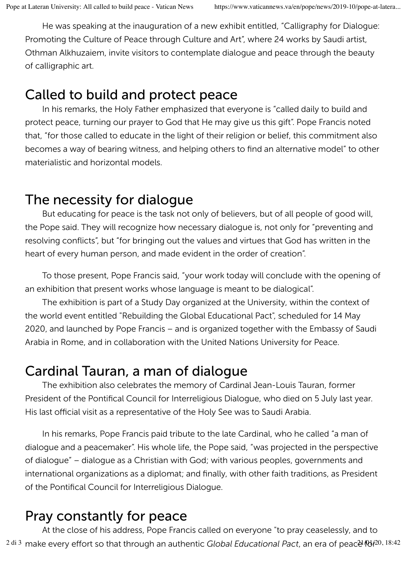He was speaking at the inauguration of a new exhibit entitled, "Calligraphy for Dialogue: Promoting the Culture of Peace through Culture and Art", where 24 works by Saudi artist, Othman Alkhuzaiem, invite visitors to contemplate dialogue and peace through the beauty of calligraphic art.

# Called to build and protect peace

In his remarks, the Holy Father emphasized that everyone is "called daily to build and protect peace, turning our prayer to God that He may give us this gift". Pope Francis noted that, "for those called to educate in the light of their religion or belief, this commitment also becomes a way of bearing witness, and helping others to find an alternative model" to other materialistic and horizontal models.

# The necessity for dialogue

But educating for peace is the task not only of believers, but of all people of good will, the Pope said. They will recognize how necessary dialogue is, not only for "preventing and resolving conflicts", but "for bringing out the values and virtues that God has written in the heart of every human person, and made evident in the order of creation".

To those present, Pope Francis said, "your work today will conclude with the opening of an exhibition that present works whose language is meant to be dialogical".

The exhibition is part of a Study Day organized at the University, within the context of the world event entitled "Rebuilding the Global Educational Pact", scheduled for 14 May 2020, and launched by Pope Francis – and is organized together with the Embassy of Saudi Arabia in Rome, and in collaboration with the United Nations University for Peace.

### Cardinal Tauran, a man of dialogue

The exhibition also celebrates the memory of Cardinal Jean-Louis Tauran, former President of the Pontifical Council for Interreligious Dialogue, who died on 5 July last year. His last official visit as a representative of the Holy See was to Saudi Arabia.

In his remarks, Pope Francis paid tribute to the late Cardinal, who he called "a man of dialogue and a peacemaker". His whole life, the Pope said, "was projected in the perspective of dialogue" – dialogue as a Christian with God; with various peoples, governments and international organizations as a diplomat; and finally, with other faith traditions, as President of the Pontifical Council for Interreligious Dialogue.

# Pray constantly for peace

At the close of his address, Pope Francis called on everyone "to pray ceaselessly, and to <sup>2 di 3</sup> make every effort so that through an authentic *Global Educational Pact*, an era of peacè 1020, 18:42